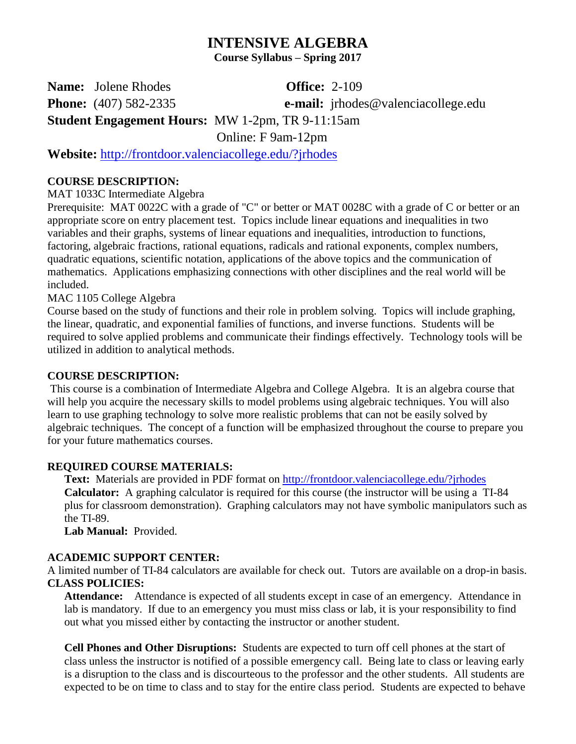# **INTENSIVE ALGEBRA**

**Course Syllabus – Spring 2017**

**Name:** Jolene Rhodes **Office:** 2-109

**Phone:** (407) 582-2335 **e-mail:** jrhodes@valenciacollege.edu

**Student Engagement Hours:** MW 1-2pm, TR 9-11:15am

Online: F 9am-12pm

**Website:** <http://frontdoor.valenciacollege.edu/?jrhodes>

## **COURSE DESCRIPTION:**

MAT 1033C Intermediate Algebra

Prerequisite: MAT 0022C with a grade of "C" or better or MAT 0028C with a grade of C or better or an appropriate score on entry placement test. Topics include linear equations and inequalities in two variables and their graphs, systems of linear equations and inequalities, introduction to functions, factoring, algebraic fractions, rational equations, radicals and rational exponents, complex numbers, quadratic equations, scientific notation, applications of the above topics and the communication of mathematics. Applications emphasizing connections with other disciplines and the real world will be included.

MAC 1105 College Algebra

Course based on the study of functions and their role in problem solving. Topics will include graphing, the linear, quadratic, and exponential families of functions, and inverse functions. Students will be required to solve applied problems and communicate their findings effectively. Technology tools will be utilized in addition to analytical methods.

## **COURSE DESCRIPTION:**

This course is a combination of Intermediate Algebra and College Algebra. It is an algebra course that will help you acquire the necessary skills to model problems using algebraic techniques. You will also learn to use graphing technology to solve more realistic problems that can not be easily solved by algebraic techniques. The concept of a function will be emphasized throughout the course to prepare you for your future mathematics courses.

# **REQUIRED COURSE MATERIALS:**

**Text:** Materials are provided in PDF format on<http://frontdoor.valenciacollege.edu/?jrhodes> **Calculator:** A graphing calculator is required for this course (the instructor will be using a TI-84 plus for classroom demonstration). Graphing calculators may not have symbolic manipulators such as the TI-89.

**Lab Manual:** Provided.

## **ACADEMIC SUPPORT CENTER:**

A limited number of TI-84 calculators are available for check out. Tutors are available on a drop-in basis. **CLASS POLICIES:**

**Attendance:** Attendance is expected of all students except in case of an emergency. Attendance in lab is mandatory. If due to an emergency you must miss class or lab, it is your responsibility to find out what you missed either by contacting the instructor or another student.

**Cell Phones and Other Disruptions:** Students are expected to turn off cell phones at the start of class unless the instructor is notified of a possible emergency call. Being late to class or leaving early is a disruption to the class and is discourteous to the professor and the other students. All students are expected to be on time to class and to stay for the entire class period. Students are expected to behave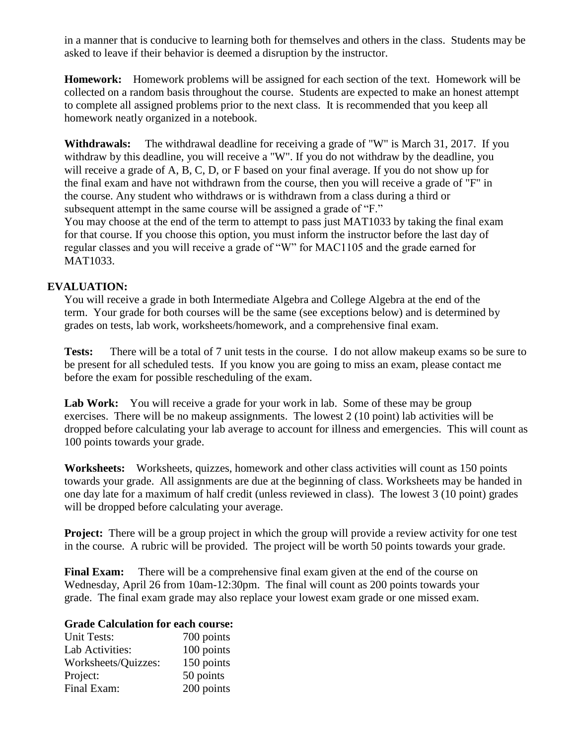in a manner that is conducive to learning both for themselves and others in the class. Students may be asked to leave if their behavior is deemed a disruption by the instructor.

**Homework:** Homework problems will be assigned for each section of the text. Homework will be collected on a random basis throughout the course. Students are expected to make an honest attempt to complete all assigned problems prior to the next class. It is recommended that you keep all homework neatly organized in a notebook.

**Withdrawals:** The withdrawal deadline for receiving a grade of "W" is March 31, 2017. If you withdraw by this deadline, you will receive a "W". If you do not withdraw by the deadline, you will receive a grade of A, B, C, D, or F based on your final average. If you do not show up for the final exam and have not withdrawn from the course, then you will receive a grade of "F" in the course. Any student who withdraws or is withdrawn from a class during a third or subsequent attempt in the same course will be assigned a grade of "F."

You may choose at the end of the term to attempt to pass just MAT1033 by taking the final exam for that course. If you choose this option, you must inform the instructor before the last day of regular classes and you will receive a grade of "W" for MAC1105 and the grade earned for MAT1033.

## **EVALUATION:**

You will receive a grade in both Intermediate Algebra and College Algebra at the end of the term. Your grade for both courses will be the same (see exceptions below) and is determined by grades on tests, lab work, worksheets/homework, and a comprehensive final exam.

**Tests:** There will be a total of 7 unit tests in the course. I do not allow makeup exams so be sure to be present for all scheduled tests. If you know you are going to miss an exam, please contact me before the exam for possible rescheduling of the exam.

Lab Work: You will receive a grade for your work in lab. Some of these may be group exercises. There will be no makeup assignments. The lowest 2 (10 point) lab activities will be dropped before calculating your lab average to account for illness and emergencies. This will count as 100 points towards your grade.

**Worksheets:** Worksheets, quizzes, homework and other class activities will count as 150 points towards your grade. All assignments are due at the beginning of class. Worksheets may be handed in one day late for a maximum of half credit (unless reviewed in class). The lowest 3 (10 point) grades will be dropped before calculating your average.

**Project:** There will be a group project in which the group will provide a review activity for one test in the course. A rubric will be provided. The project will be worth 50 points towards your grade.

**Final Exam:** There will be a comprehensive final exam given at the end of the course on Wednesday, April 26 from 10am-12:30pm. The final will count as 200 points towards your grade. The final exam grade may also replace your lowest exam grade or one missed exam.

## **Grade Calculation for each course:**

| Unit Tests:         | 700 points |
|---------------------|------------|
| Lab Activities:     | 100 points |
| Worksheets/Quizzes: | 150 points |
| Project:            | 50 points  |
| Final Exam:         | 200 points |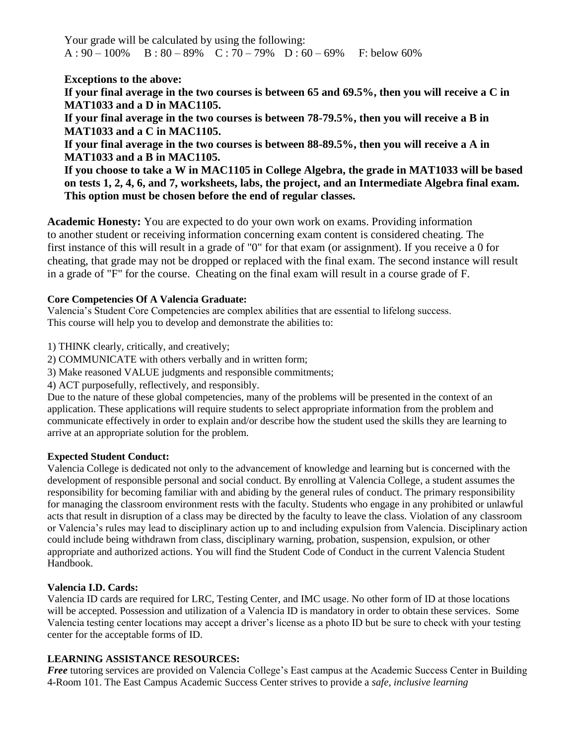Your grade will be calculated by using the following:  $A: 90 - 100\%$  B:  $80 - 89\%$  C:  $70 - 79\%$  D:  $60 - 69\%$  F: below 60%

**Exceptions to the above:** 

**If your final average in the two courses is between 65 and 69.5%, then you will receive a C in MAT1033 and a D in MAC1105.** 

**If your final average in the two courses is between 78-79.5%, then you will receive a B in MAT1033 and a C in MAC1105.**

**If your final average in the two courses is between 88-89.5%, then you will receive a A in MAT1033 and a B in MAC1105.**

**If you choose to take a W in MAC1105 in College Algebra, the grade in MAT1033 will be based on tests 1, 2, 4, 6, and 7, worksheets, labs, the project, and an Intermediate Algebra final exam. This option must be chosen before the end of regular classes.** 

**Academic Honesty:** You are expected to do your own work on exams. Providing information to another student or receiving information concerning exam content is considered cheating. The first instance of this will result in a grade of "0" for that exam (or assignment). If you receive a 0 for cheating, that grade may not be dropped or replaced with the final exam. The second instance will result in a grade of "F" for the course. Cheating on the final exam will result in a course grade of F.

## **Core Competencies Of A Valencia Graduate:**

Valencia's Student Core Competencies are complex abilities that are essential to lifelong success. This course will help you to develop and demonstrate the abilities to:

1) THINK clearly, critically, and creatively;

2) COMMUNICATE with others verbally and in written form;

3) Make reasoned VALUE judgments and responsible commitments;

4) ACT purposefully, reflectively, and responsibly.

Due to the nature of these global competencies, many of the problems will be presented in the context of an application. These applications will require students to select appropriate information from the problem and communicate effectively in order to explain and/or describe how the student used the skills they are learning to arrive at an appropriate solution for the problem.

### **Expected Student Conduct:**

Valencia College is dedicated not only to the advancement of knowledge and learning but is concerned with the development of responsible personal and social conduct. By enrolling at Valencia College, a student assumes the responsibility for becoming familiar with and abiding by the general rules of conduct. The primary responsibility for managing the classroom environment rests with the faculty. Students who engage in any prohibited or unlawful acts that result in disruption of a class may be directed by the faculty to leave the class. Violation of any classroom or Valencia's rules may lead to disciplinary action up to and including expulsion from Valencia. Disciplinary action could include being withdrawn from class, disciplinary warning, probation, suspension, expulsion, or other appropriate and authorized actions. You will find the Student Code of Conduct in the current Valencia Student Handbook.

### **Valencia I.D. Cards:**

Valencia ID cards are required for LRC, Testing Center, and IMC usage. No other form of ID at those locations will be accepted. Possession and utilization of a Valencia ID is mandatory in order to obtain these services. Some Valencia testing center locations may accept a driver's license as a photo ID but be sure to check with your testing center for the acceptable forms of ID.

### **LEARNING ASSISTANCE RESOURCES:**

*Free* tutoring services are provided on Valencia College's East campus at the Academic Success Center in Building 4-Room 101. The East Campus Academic Success Center strives to provide a *safe, inclusive learning*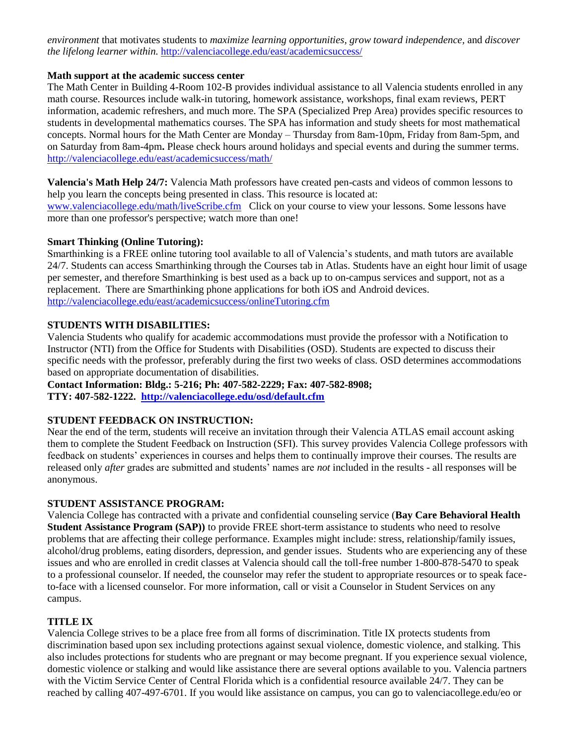*environment* that motivates students to *maximize learning opportunities, grow toward independence,* and *discover the lifelong learner within.* <http://valenciacollege.edu/east/academicsuccess/>

#### **Math support at the academic success center**

The Math Center in Building 4-Room 102-B provides individual assistance to all Valencia students enrolled in any math course. Resources include walk-in tutoring, homework assistance, workshops, final exam reviews, PERT information, academic refreshers, and much more. The SPA (Specialized Prep Area) provides specific resources to students in developmental mathematics courses. The SPA has information and study sheets for most mathematical concepts. Normal hours for the Math Center are Monday – Thursday from 8am-10pm, Friday from 8am-5pm, and on Saturday from 8am-4pm**.** Please check hours around holidays and special events and during the summer terms. <http://valenciacollege.edu/east/academicsuccess/math/>

**Valencia's Math Help 24/7:** Valencia Math professors have created pen-casts and videos of common lessons to help you learn the concepts being presented in class. This resource is located at: [www.valenciacollege.edu/math/liveScribe.cfm](http://www.valenciacollege.edu/math/liveScribe.cfm) Click on your course to view your lessons. Some lessons have more than one professor's perspective; watch more than one!

### **Smart Thinking (Online Tutoring):**

Smarthinking is a FREE online tutoring tool available to all of Valencia's students, and math tutors are available 24/7. Students can access Smarthinking through the Courses tab in Atlas. Students have an eight hour limit of usage per semester, and therefore Smarthinking is best used as a back up to on-campus services and support, not as a replacement. There are Smarthinking phone applications for both iOS and Android devices. <http://valenciacollege.edu/east/academicsuccess/onlineTutoring.cfm>

### **STUDENTS WITH DISABILITIES:**

Valencia Students who qualify for academic accommodations must provide the professor with a Notification to Instructor (NTI) from the Office for Students with Disabilities (OSD). Students are expected to discuss their specific needs with the professor, preferably during the first two weeks of class. OSD determines accommodations based on appropriate documentation of disabilities.

**Contact Information: Bldg.: 5-216; Ph: 407-582-2229; Fax: 407-582-8908;** 

**TTY: 407-582-1222. <http://valenciacollege.edu/osd/default.cfm>**

### **STUDENT FEEDBACK ON INSTRUCTION:**

Near the end of the term, students will receive an invitation through their Valencia ATLAS email account asking them to complete the Student Feedback on Instruction (SFI). This survey provides Valencia College professors with feedback on students' experiences in courses and helps them to continually improve their courses. The results are released only *after* grades are submitted and students' names are *not* included in the results - all responses will be anonymous.

#### **STUDENT ASSISTANCE PROGRAM:**

Valencia College has contracted with a private and confidential counseling service (**Bay Care Behavioral Health Student Assistance Program (SAP)**) to provide FREE short-term assistance to students who need to resolve problems that are affecting their college performance. Examples might include: stress, relationship/family issues, alcohol/drug problems, eating disorders, depression, and gender issues. Students who are experiencing any of these issues and who are enrolled in credit classes at Valencia should call the toll-free number 1-800-878-5470 to speak to a professional counselor. If needed, the counselor may refer the student to appropriate resources or to speak faceto-face with a licensed counselor. For more information, call or visit a Counselor in Student Services on any campus.

### **TITLE IX**

Valencia College strives to be a place free from all forms of discrimination. Title IX protects students from discrimination based upon sex including protections against sexual violence, domestic violence, and stalking. This also includes protections for students who are pregnant or may become pregnant. If you experience sexual violence, domestic violence or stalking and would like assistance there are several options available to you. Valencia partners with the Victim Service Center of Central Florida which is a confidential resource available 24/7. They can be reached by calling 407-497-6701. If you would like assistance on campus, you can go to valenciacollege.edu/eo or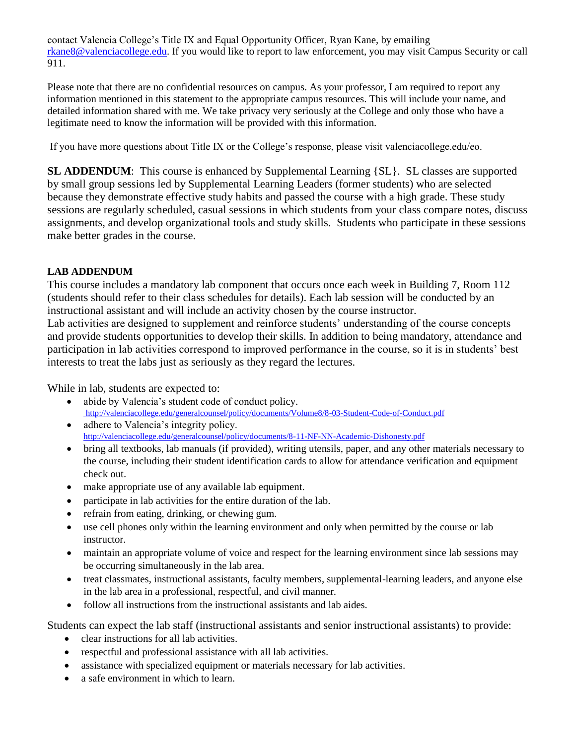contact Valencia College's Title IX and Equal Opportunity Officer, Ryan Kane, by emailing [rkane8@valenciacollege.edu.](mailto:rkane8@valenciacollege.edu) If you would like to report to law enforcement, you may visit Campus Security or call 911.

Please note that there are no confidential resources on campus. As your professor, I am required to report any information mentioned in this statement to the appropriate campus resources. This will include your name, and detailed information shared with me. We take privacy very seriously at the College and only those who have a legitimate need to know the information will be provided with this information.

If you have more questions about Title IX or the College's response, please visit valenciacollege.edu/eo.

**SL ADDENDUM**: This course is enhanced by Supplemental Learning  $\{SL\}$ . SL classes are supported by small group sessions led by Supplemental Learning Leaders (former students) who are selected because they demonstrate effective study habits and passed the course with a high grade. These study sessions are regularly scheduled, casual sessions in which students from your class compare notes, discuss assignments, and develop organizational tools and study skills. Students who participate in these sessions make better grades in the course.

## **LAB ADDENDUM**

This course includes a mandatory lab component that occurs once each week in Building 7, Room 112 (students should refer to their class schedules for details). Each lab session will be conducted by an instructional assistant and will include an activity chosen by the course instructor.

Lab activities are designed to supplement and reinforce students' understanding of the course concepts and provide students opportunities to develop their skills. In addition to being mandatory, attendance and participation in lab activities correspond to improved performance in the course, so it is in students' best interests to treat the labs just as seriously as they regard the lectures.

While in lab, students are expected to:

- abide by Valencia's student code of conduct policy. http://valenciacollege.edu/generalcounsel/policy/documents/Volume8/8-03-Student-Code-of-Conduct.pdf
- adhere to Valencia's integrity policy. <http://valenciacollege.edu/generalcounsel/policy/documents/8-11-NF-NN-Academic-Dishonesty.pdf>
- bring all textbooks, lab manuals (if provided), writing utensils, paper, and any other materials necessary to the course, including their student identification cards to allow for attendance verification and equipment check out.
- make appropriate use of any available lab equipment.
- participate in lab activities for the entire duration of the lab.
- refrain from eating, drinking, or chewing gum.
- use cell phones only within the learning environment and only when permitted by the course or lab instructor.
- maintain an appropriate volume of voice and respect for the learning environment since lab sessions may be occurring simultaneously in the lab area.
- treat classmates, instructional assistants, faculty members, supplemental-learning leaders, and anyone else in the lab area in a professional, respectful, and civil manner.
- follow all instructions from the instructional assistants and lab aides.

Students can expect the lab staff (instructional assistants and senior instructional assistants) to provide:

- clear instructions for all lab activities.
- respectful and professional assistance with all lab activities.
- assistance with specialized equipment or materials necessary for lab activities.
- a safe environment in which to learn.